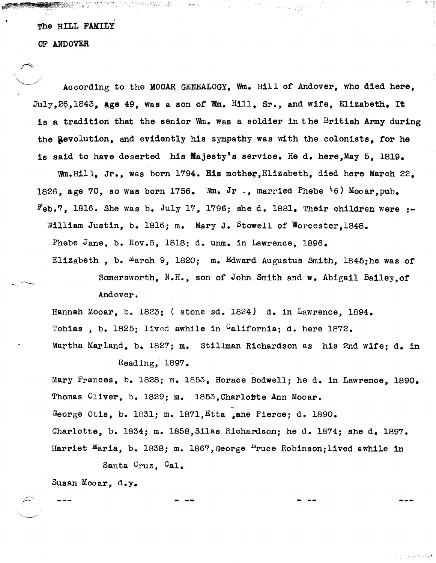## The HILL FAMILY

OF ANDOVER

According to the MOOAR GENEALOGY, Wm. Hill of Andover, who died here, July,26,1843, Age 49, Was a son of Wm. Hill, Sr., and wife, Elizabeth. It is a tradition that the senior Wm. was a soldier in the British Army during the Revolution, and evidently his sympathy was with the colonists, for he is said to have deserted his  $M$ ajesty's service. He d. here.May 5. 1819.

Wm.Hill. Jr., was born 1794. His mother, Elizabeth, died here March 22. 1826, age 70, so was born 1756. Wm. Jr., married Phebe  $\{6\}$  Mooar, pub.  $F_{eb}$ .7. 1816. She was b. July 17. 1796; she d. 1881. Their children were  $:$ William Justin, b. 1816; m. Mary J. Stowell of Worcester, 1848. Phebe Jane, b. Nov.5, 1818; d. unm. in Lawrence, 1896. Elizabeth, b. March 9, 1820; m. Edward Augustus Smith, 1845;he was of

> Somersworth, N.H., son of John Smith and w. Abigail Bailey,of Andover.

Hannah Mooar, b. 1823; (stone sd. 1824) d. in Lawrence, 1894. Tobias, b. 1825; lived awhile in  $C$ alifornia; d. here 1872. Martha Marland, b. 1827; m. Stillman Richardson as his 2nd wife; d. in

Reading,  $1897.$ 

Mary Frances, b. 1828; m. 1853, Horace Bodwell; he d. in Lawrence. 1890. Thomas Oliver, b. 1829; m. 1853,Char1obte Ann Mooar. George Otis, b. 1831; m. 1871, Etta .ane Pierce; d. 1890. Charlotte, b. 1834; m. 1858, Silas Richardson; he d. 1874; she d. 1897. Harriet Maria, b. 1838; m. 1867, George  $P$ ruce Robinson; lived awhile in

Santa Cruz, Cal.

Susan Mooar, d.y.